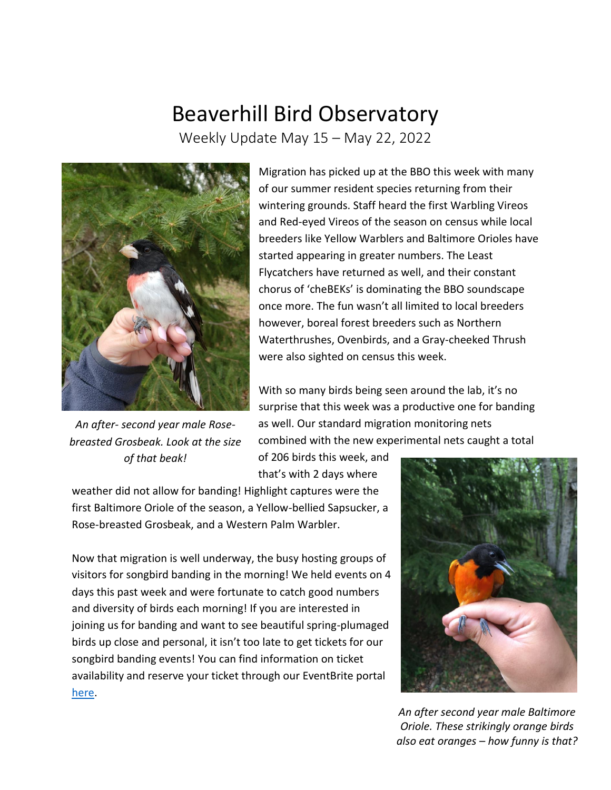## Beaverhill Bird Observatory

Weekly Update May 15 – May 22, 2022



*An after- second year male Rosebreasted Grosbeak. Look at the size of that beak!*

Migration has picked up at the BBO this week with many of our summer resident species returning from their wintering grounds. Staff heard the first Warbling Vireos and Red-eyed Vireos of the season on census while local breeders like Yellow Warblers and Baltimore Orioles have started appearing in greater numbers. The Least Flycatchers have returned as well, and their constant chorus of 'cheBEKs' is dominating the BBO soundscape once more. The fun wasn't all limited to local breeders however, boreal forest breeders such as Northern Waterthrushes, Ovenbirds, and a Gray-cheeked Thrush were also sighted on census this week.

With so many birds being seen around the lab, it's no surprise that this week was a productive one for banding as well. Our standard migration monitoring nets combined with the new experimental nets caught a total

of 206 birds this week, and that's with 2 days where

weather did not allow for banding! Highlight captures were the first Baltimore Oriole of the season, a Yellow-bellied Sapsucker, a Rose-breasted Grosbeak, and a Western Palm Warbler.

Now that migration is well underway, the busy hosting groups of visitors for songbird banding in the morning! We held events on 4 days this past week and were fortunate to catch good numbers and diversity of birds each morning! If you are interested in joining us for banding and want to see beautiful spring-plumaged birds up close and personal, it isn't too late to get tickets for our songbird banding events! You can find information on ticket availability and reserve your ticket through our EventBrite portal [here.](https://www.eventbrite.ca/e/songbird-banding-at-the-beaverhill-bird-observatory-tickets-329798304607)



*An after second year male Baltimore Oriole. These strikingly orange birds also eat oranges – how funny is that?*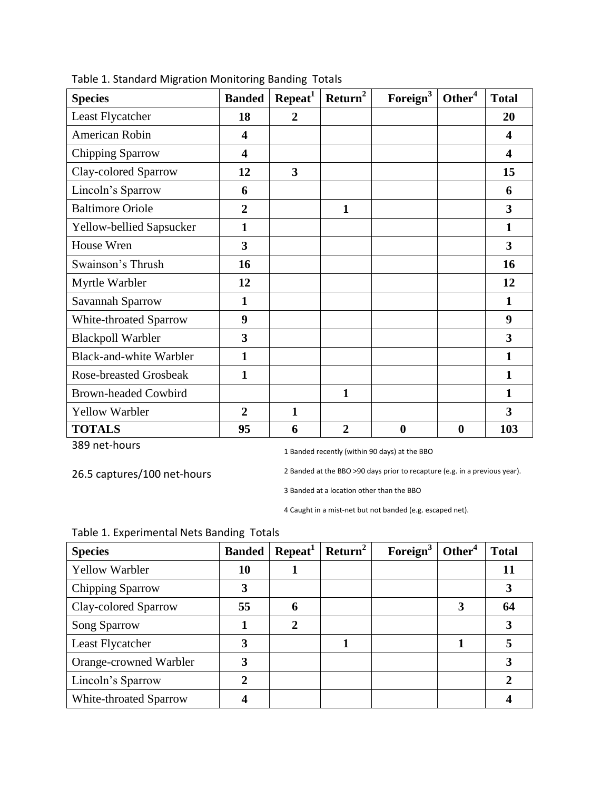| <b>Species</b>                | <b>Banded</b>           | Repeat <sup>1</sup>     | Return <sup>2</sup> | Foreign <sup>3</sup> | Other <sup>4</sup> | <b>Total</b>            |
|-------------------------------|-------------------------|-------------------------|---------------------|----------------------|--------------------|-------------------------|
| Least Flycatcher              | 18                      | $\overline{2}$          |                     |                      |                    | 20                      |
| American Robin                | $\overline{\mathbf{4}}$ |                         |                     |                      |                    | $\overline{\mathbf{4}}$ |
| Chipping Sparrow              | $\overline{\mathbf{4}}$ |                         |                     |                      |                    | $\overline{\mathbf{4}}$ |
| Clay-colored Sparrow          | 12                      | $\overline{\mathbf{3}}$ |                     |                      |                    | 15                      |
| Lincoln's Sparrow             | 6                       |                         |                     |                      |                    | 6                       |
| <b>Baltimore Oriole</b>       | $\overline{2}$          |                         | 1                   |                      |                    | 3                       |
| Yellow-bellied Sapsucker      | $\mathbf{1}$            |                         |                     |                      |                    | 1                       |
| House Wren                    | 3                       |                         |                     |                      |                    | 3                       |
| Swainson's Thrush             | 16                      |                         |                     |                      |                    | 16                      |
| Myrtle Warbler                | 12                      |                         |                     |                      |                    | 12                      |
| Savannah Sparrow              | $\mathbf{1}$            |                         |                     |                      |                    | 1                       |
| White-throated Sparrow        | 9                       |                         |                     |                      |                    | 9                       |
| <b>Blackpoll Warbler</b>      | 3                       |                         |                     |                      |                    | 3                       |
| Black-and-white Warbler       | $\mathbf{1}$            |                         |                     |                      |                    |                         |
| <b>Rose-breasted Grosbeak</b> | $\mathbf{1}$            |                         |                     |                      |                    |                         |
| <b>Brown-headed Cowbird</b>   |                         |                         | 1                   |                      |                    |                         |
| <b>Yellow Warbler</b>         | $\overline{2}$          | $\mathbf{1}$            |                     |                      |                    | 3                       |
| <b>TOTALS</b>                 | 95                      | 6                       | $\overline{2}$      | $\bf{0}$             | $\boldsymbol{0}$   | 103                     |

Table 1. Standard Migration Monitoring Banding Totals

389 net-hours

1 Banded recently (within 90 days) at the BBO

26.5 captures/100 net-hours

2 Banded at the BBO >90 days prior to recapture (e.g. in a previous year).

3 Banded at a location other than the BBO

4 Caught in a mist-net but not banded (e.g. escaped net).

| <b>Species</b>         | <b>Banded</b>  | Repeat <sup>1</sup> | Return <sup>2</sup> | Foreign <sup>3</sup> | Other <sup>4</sup> | <b>Total</b> |
|------------------------|----------------|---------------------|---------------------|----------------------|--------------------|--------------|
| <b>Yellow Warbler</b>  | 10             | л                   |                     |                      |                    | 11           |
| Chipping Sparrow       | 3              |                     |                     |                      |                    | 3            |
| Clay-colored Sparrow   | 55             | 6                   |                     |                      |                    | 64           |
| Song Sparrow           |                | $\overline{2}$      |                     |                      |                    | 3            |
| Least Flycatcher       | 3              |                     |                     |                      |                    | 5            |
| Orange-crowned Warbler | 3              |                     |                     |                      |                    | 3            |
| Lincoln's Sparrow      | $\overline{2}$ |                     |                     |                      |                    | $\mathbf{2}$ |
| White-throated Sparrow |                |                     |                     |                      |                    |              |

## Table 1. Experimental Nets Banding Totals